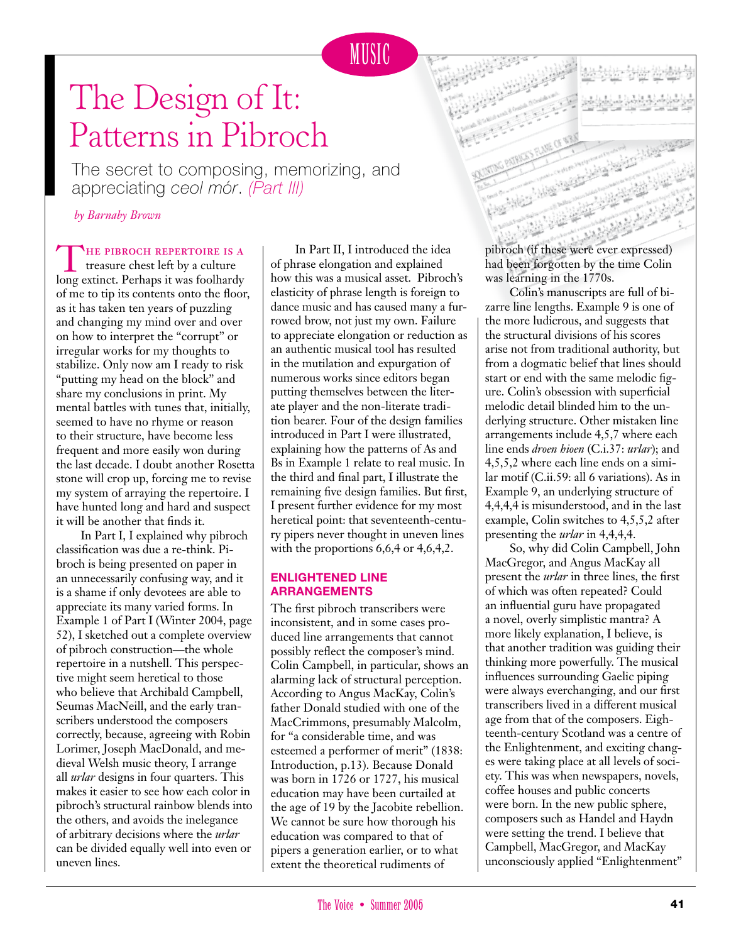## The Design of It: Patterns in Pibroch

The secret to composing, memorizing, and appreciating *ceol mór*. *(Part III)*

*by Barnaby Brown*

THE PIBROCH REPERTOIRE IS A treasure chest left by a culture long extinct. Perhaps it was foolhardy of me to tip its contents onto the floor, as it has taken ten years of puzzling and changing my mind over and over on how to interpret the "corrupt" or irregular works for my thoughts to stabilize. Only now am I ready to risk "putting my head on the block" and share my conclusions in print. My mental battles with tunes that, initially, seemed to have no rhyme or reason to their structure, have become less frequent and more easily won during the last decade. I doubt another Rosetta stone will crop up, forcing me to revise my system of arraying the repertoire. I have hunted long and hard and suspect it will be another that finds it.

In Part I, I explained why pibroch classification was due a re-think. Pibroch is being presented on paper in an unnecessarily confusing way, and it is a shame if only devotees are able to appreciate its many varied forms. In Example 1 of Part I (Winter 2004, page 52), I sketched out a complete overview of pibroch construction—the whole repertoire in a nutshell. This perspective might seem heretical to those who believe that Archibald Campbell, Seumas MacNeill, and the early transcribers understood the composers correctly, because, agreeing with Robin Lorimer, Joseph MacDonald, and medieval Welsh music theory, I arrange all *urlar* designs in four quarters. This makes it easier to see how each color in pibroch's structural rainbow blends into the others, and avoids the inelegance of arbitrary decisions where the *urlar* can be divided equally well into even or uneven lines.

In Part II, I introduced the idea of phrase elongation and explained how this was a musical asset. Pibroch's elasticity of phrase length is foreign to dance music and has caused many a furrowed brow, not just my own. Failure to appreciate elongation or reduction as an authentic musical tool has resulted in the mutilation and expurgation of numerous works since editors began putting themselves between the literate player and the non-literate tradition bearer. Four of the design families introduced in Part I were illustrated, explaining how the patterns of As and Bs in Example 1 relate to real music. In the third and final part, I illustrate the remaining five design families. But first, I present further evidence for my most heretical point: that seventeenth-century pipers never thought in uneven lines with the proportions 6,6,4 or 4,6,4,2.

### **Enlightened Line Arrangements**

The first pibroch transcribers were inconsistent, and in some cases produced line arrangements that cannot possibly reflect the composer's mind. Colin Campbell, in particular, shows an alarming lack of structural perception. According to Angus MacKay, Colin's father Donald studied with one of the MacCrimmons, presumably Malcolm, for "a considerable time, and was esteemed a performer of merit" (1838: Introduction, p.13). Because Donald was born in 1726 or 1727, his musical education may have been curtailed at the age of 19 by the Jacobite rebellion. We cannot be sure how thorough his education was compared to that of pipers a generation earlier, or to what extent the theoretical rudiments of

pibroch (if these were ever expressed) had been forgotten by the time Colin was learning in the 1770s.

Colin's manuscripts are full of bizarre line lengths. Example 9 is one of the more ludicrous, and suggests that the structural divisions of his scores arise not from traditional authority, but from a dogmatic belief that lines should start or end with the same melodic figure. Colin's obsession with superficial melodic detail blinded him to the underlying structure. Other mistaken line arrangements include 4,5,7 where each line ends *droen hioen* (C.i.37: *urlar*); and 4,5,5,2 where each line ends on a similar motif (C.ii.59: all 6 variations). As in Example 9, an underlying structure of 4,4,4,4 is misunderstood, and in the last example, Colin switches to 4,5,5,2 after presenting the *urlar* in 4,4,4,4.

So, why did Colin Campbell, John MacGregor, and Angus MacKay all present the *urlar* in three lines, the first of which was often repeated? Could an influential guru have propagated a novel, overly simplistic mantra? A more likely explanation, I believe, is that another tradition was guiding their thinking more powerfully. The musical influences surrounding Gaelic piping were always everchanging, and our first transcribers lived in a different musical age from that of the composers. Eighteenth-century Scotland was a centre of the Enlightenment, and exciting changes were taking place at all levels of society. This was when newspapers, novels, coffee houses and public concerts were born. In the new public sphere, composers such as Handel and Haydn were setting the trend. I believe that Campbell, MacGregor, and MacKay unconsciously applied "Enlightenment"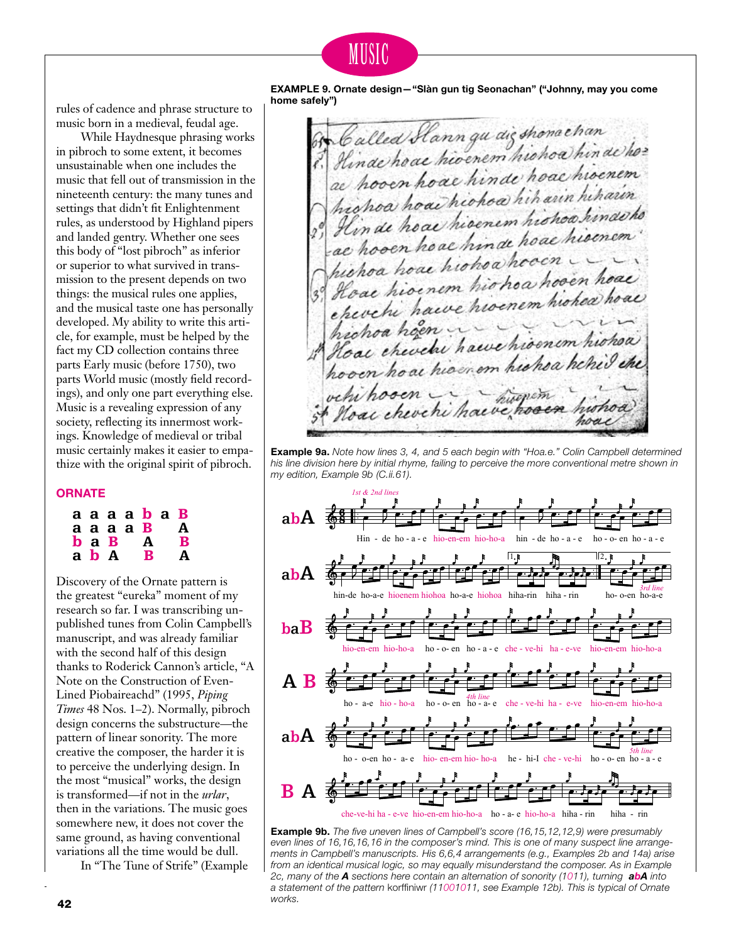### MUSIC

rules of cadence and phrase structure to music born in a medieval, feudal age.

While Haydnesque phrasing works in pibroch to some extent, it becomes unsustainable when one includes the music that fell out of transmission in the nineteenth century: the many tunes and settings that didn't fit Enlightenment rules, as understood by Highland pipers and landed gentry. Whether one sees this body of "lost pibroch" as inferior or superior to what survived in transmission to the present depends on two things: the musical rules one applies, and the musical taste one has personally developed. My ability to write this article, for example, must be helped by the fact my CD collection contains three parts Early music (before 1750), two parts World music (mostly field recordings), and only one part everything else. Music is a revealing expression of any society, reflecting its innermost workings. Knowledge of medieval or tribal music certainly makes it easier to empathize with the original spirit of pibroch.

#### **Ornate**

| a b A | $\mathbf b$ a $\mathbf B$ | a a a a <b>b</b> a B<br>аааа В<br>A<br>B | A<br>B<br>A |
|-------|---------------------------|------------------------------------------|-------------|
|       |                           |                                          |             |

Discovery of the Ornate pattern is the greatest "eureka" moment of my research so far. I was transcribing unpublished tunes from Colin Campbell's manuscript, and was already familiar with the second half of this design thanks to Roderick Cannon's article, "A Note on the Construction of Even-Lined Piobaireachd" (1995, *Piping Times* 48 Nos. 1–2). Normally, pibroch design concerns the substructure—the pattern of linear sonority. The more creative the composer, the harder it is to perceive the underlying design. In the most "musical" works, the design is transformed—if not in the *urlar*, then in the variations. The music goes somewhere new, it does not cover the same ground, as having conventional variations all the time would be dull.

In "The Tune of Strife" (Example

**EXAMPLE 9. Ornate design—"Slàn gun tig Seonachan" ("Johnny, may you come home safely")**

Called Slann gu aigshonachan<br>Hinde hoac hioenem hiohoa hin de ho?<br>a hooen hoac hinde hoac hioenem re hooen hoac ninae in arin hiharin hichoa hoachconoa nin ann nin acho Hinde hoar nivenem mondi<br>ae hooen hoar hinde hoar hisenem hosen noue minue hoocn hoa hoar hionoa hoa hoo'en hoar ae hioenem monda niohea hoac hronoa noen i hawe hisonem his.<br>Noac cheochi hawe hisonem his hoven ho as his enom his hoa he his vehi hosen. Moac cheve hi have enveren

**Example 9a.** *Note how lines 3, 4, and 5 each begin with "Hoa.e." Colin Campbell determined his line division here by initial rhyme, failing to perceive the more conventional metre shown in my edition, Example 9b (C.ii.61).*



 $\overline{42}$  WOrks. **Example 9b.** *The five uneven lines of Campbell's score (16,15,12,12,9) were presumably even lines of 16,16,16,16 in the composer's mind. This is one of many suspect line arrangements in Campbell's manuscripts. His 6,6,4 arrangements (e.g., Examples 2b and 14a) arise from an identical musical logic, so may equally misunderstand the composer. As in Example 2c, many of the A sections here contain an alternation of sonority (1011), turning abA into a statement of the pattern* korffiniwr *(11001011, see Example 12b). This is typical of Ornate works.*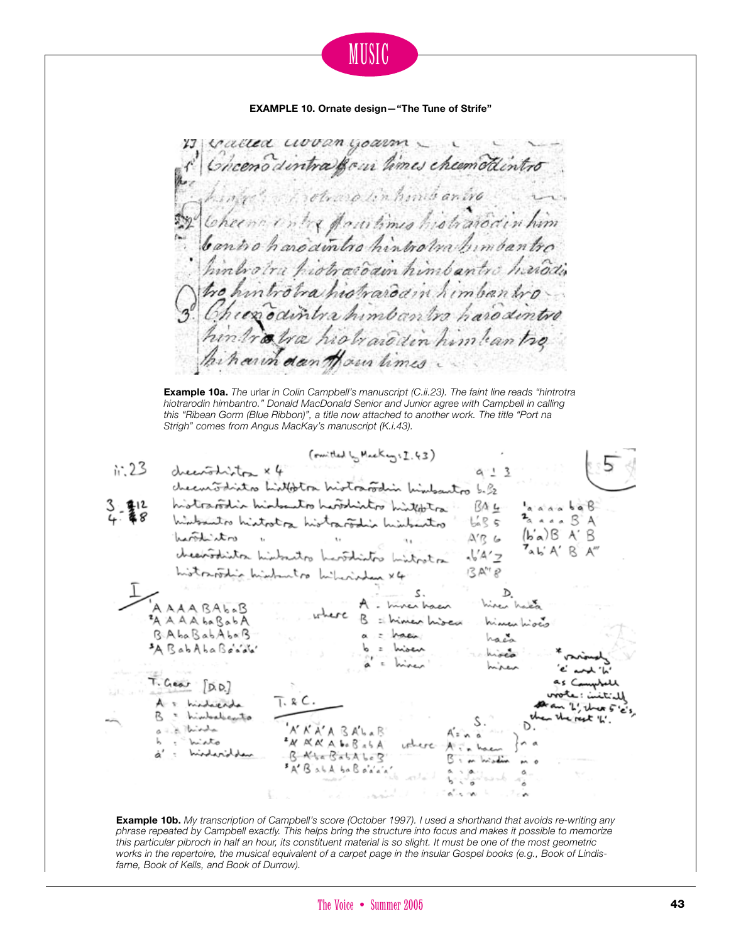MUSIC **EXAMPLE 10. Ornate design—"The Tune of Strife"** 13 Called woodn yourn \_ \_ Chcenodintra gour times cheemoticntro Arotrop linhmis anire Cheen entre faculimes histratorin him hinbotra piotrasdain himbantro hañosis tro hintrobra histrardain himbantro Chier odintra himbantro haro dintro intratra histrarodin him tean tre harin dan Hour limes **Example 10a.** *The* urlar *in Colin Campbell's manuscript (C.ii.23). The faint line reads "hintrotra hiotrarodin himbantro." Donald MacDonald Senior and Junior agree with Campbell in calling this "Ribean Gorm (Blue Ribbon)", a title now attached to another work. The title "Port na Strigh" comes from Angus MacKay's manuscript (K.i.43).*  (mitted by Meckey: I.43)  $1:23$ drectorliston x4  $a - 3$ checutodisto historia historofilis historito b. 32 historoidin hinteratio historiche historic. BA4 anna bab<br>2<sub>anna</sub> BA historiatio historica historio historicatio  $\frac{1}{2}$   $\frac{1}{2}$   $\frac{1}{2}$   $\frac{1}{2}$   $\frac{1}{2}$   $\frac{1}{2}$   $\frac{1}{2}$   $\frac{1}{2}$   $\frac{1}{2}$   $\frac{1}{2}$   $\frac{1}{2}$   $\frac{1}{2}$   $\frac{1}{2}$   $\frac{1}{2}$   $\frac{1}{2}$   $\frac{1}{2}$   $\frac{1}{2}$   $\frac{1}{2}$   $\frac{1}{2}$   $\frac{1}{2}$   $\frac{1}{2}$   $\frac{1}{2}$   $(b'a)B'A'B$ workiston  $X'R$  6 hartilistro "<br>cheapothistra historito hartilistro bistrator" (1/4/2 historoodin highertoo hilarished x4  $13$  A<sup>tr</sup>  $R$ D.<br>hiver haka s. A AAA BAbaB<br>A A A A baBabA A. Invertiser B = hines hised himanhioco B. AbaBabAbaB chanhaca A RabAhaBenda hives miren  $T.Gew \sim [D.D.]$ a histocrata himbalecento d thinks XXXABALAR<br>XXXAbBabA vehere. استملائهما ينسر B. Kha Batalog.<br>"A' Batal ba Bakka' **Example 10b.** *My transcription of Campbell's score (October 1997). I used a shorthand that avoids re-writing any* 

*phrase repeated by Campbell exactly. This helps bring the structure into focus and makes it possible to memorize this particular pibroch in half an hour, its constituent material is so slight. It must be one of the most geometric works in the repertoire, the musical equivalent of a carpet page in the insular Gospel books (e.g., Book of Lindisfarne, Book of Kells, and Book of Durrow).*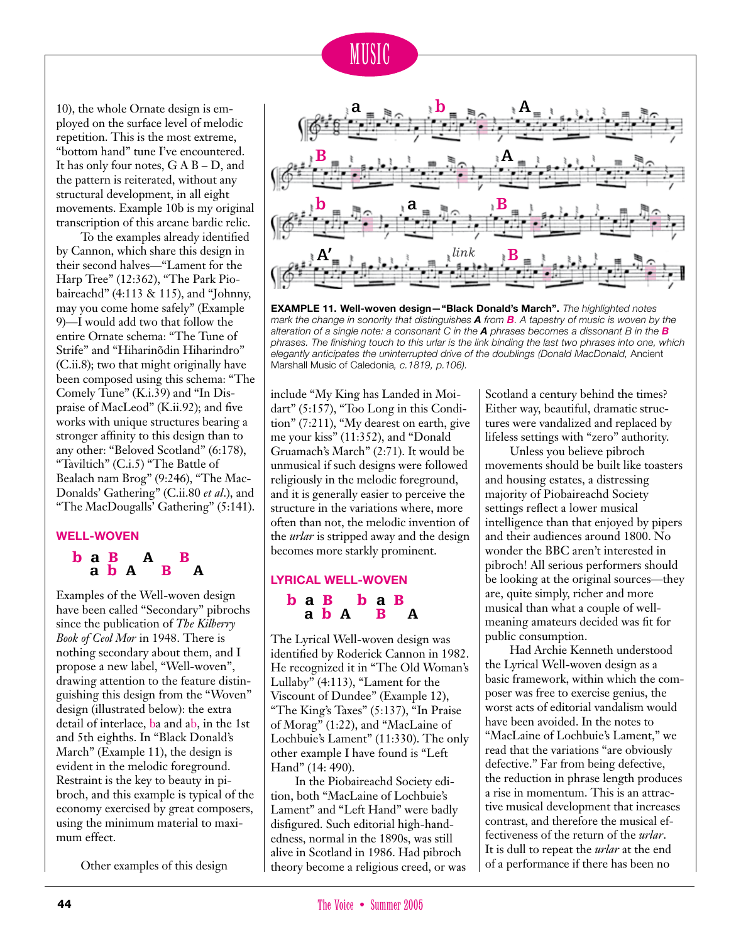

10), the whole Ornate design is employed on the surface level of melodic repetition. This is the most extreme, "bottom hand" tune I've encountered. It has only four notes, G A B – D, and the pattern is reiterated, without any structural development, in all eight movements. Example 10b is my original transcription of this arcane bardic relic.

To the examples already identified by Cannon, which share this design in their second halves—"Lament for the Harp Tree" (12:362), "The Park Piobaireachd" (4:113 & 115), and "Johnny, may you come home safely" (Example 9)—I would add two that follow the entire Ornate schema: "The Tune of Strife" and "Hiharinõdin Hiharindro" (C.ii.8); two that might originally have been composed using this schema: "The Comely Tune" (K.i.39) and "In Dispraise of MacLeod" (K.ii.92); and five works with unique structures bearing a stronger affinity to this design than to any other: "Beloved Scotland" (6:178), "Taviltich" (C.i.5) "The Battle of Bealach nam Brog" (9:246), "The Mac-Donalds' Gathering" (C.ii.80 *et al*.), and "The MacDougalls' Gathering" (5:141).

#### **Well-woven**

### $\begin{array}{cccc}\n\mathbf{b} & \mathbf{a} & \mathbf{B} & \mathbf{A} & \mathbf{B} \\
\mathbf{a} & \mathbf{b} & \mathbf{A} & \mathbf{B} & \mathbf{A}\n\end{array}$

**a b A B A**<br>Examples of the Well-woven design have been called "Secondary" pibrochs since the publication of *The Kilberry Book of Ceol Mor* in 1948. There is nothing secondary about them, and I propose a new label, "Well-woven", drawing attention to the feature distinguishing this design from the "Woven" design (illustrated below): the extra detail of interlace, ba and ab, in the 1st and 5th eighths. In "Black Donald's March" (Example 11), the design is evident in the melodic foreground. Restraint is the key to beauty in pibroch, and this example is typical of the economy exercised by great composers, using the minimum material to maximum effect.

Other examples of this design



**EXAMPLE 11. Well-woven design—"Black Donald's March".** *The highlighted notes mark the change in sonority that distinguishes A from B. A tapestry of music is woven by the alteration of a single note: a consonant C in the A phrases becomes a dissonant B in the B phrases. The finishing touch to this urlar is the link binding the last two phrases into one, which elegantly anticipates the uninterrupted drive of the doublings (Donald MacDonald,* Ancient Marshall Music of Caledonia*, c.1819, p.106).*

include "My King has Landed in Moidart" (5:157), "Too Long in this Condition" (7:211), "My dearest on earth, give me your kiss" (11:352), and "Donald Gruamach's March" (2:71). It would be unmusical if such designs were followed religiously in the melodic foreground, and it is generally easier to perceive the structure in the variations where, more often than not, the melodic invention of the *urlar* is stripped away and the design becomes more starkly prominent.

### **Lyrical Well-woven**

### ba B<br>a b A B  $a \ b \ A \ B \ A$

The Lyrical Well-woven design was identified by Roderick Cannon in 1982. He recognized it in "The Old Woman's Lullaby" (4:113), "Lament for the Viscount of Dundee" (Example 12), "The King's Taxes" (5:137), "In Praise of Morag" (1:22), and "MacLaine of Lochbuie's Lament" (11:330). The only other example I have found is "Left Hand" (14: 490).

In the Piobaireachd Society edition, both "MacLaine of Lochbuie's Lament" and "Left Hand" were badly disfigured. Such editorial high-handedness, normal in the 1890s, was still alive in Scotland in 1986. Had pibroch theory become a religious creed, or was

Scotland a century behind the times? Either way, beautiful, dramatic structures were vandalized and replaced by lifeless settings with "zero" authority.

Unless you believe pibroch movements should be built like toasters and housing estates, a distressing majority of Piobaireachd Society settings reflect a lower musical intelligence than that enjoyed by pipers and their audiences around 1800. No wonder the BBC aren't interested in pibroch! All serious performers should be looking at the original sources—they are, quite simply, richer and more musical than what a couple of wellmeaning amateurs decided was fit for public consumption.

Had Archie Kenneth understood the Lyrical Well-woven design as a basic framework, within which the composer was free to exercise genius, the worst acts of editorial vandalism would have been avoided. In the notes to "MacLaine of Lochbuie's Lament," we read that the variations "are obviously defective." Far from being defective, the reduction in phrase length produces a rise in momentum. This is an attractive musical development that increases contrast, and therefore the musical effectiveness of the return of the *urlar*. It is dull to repeat the *urlar* at the end of a performance if there has been no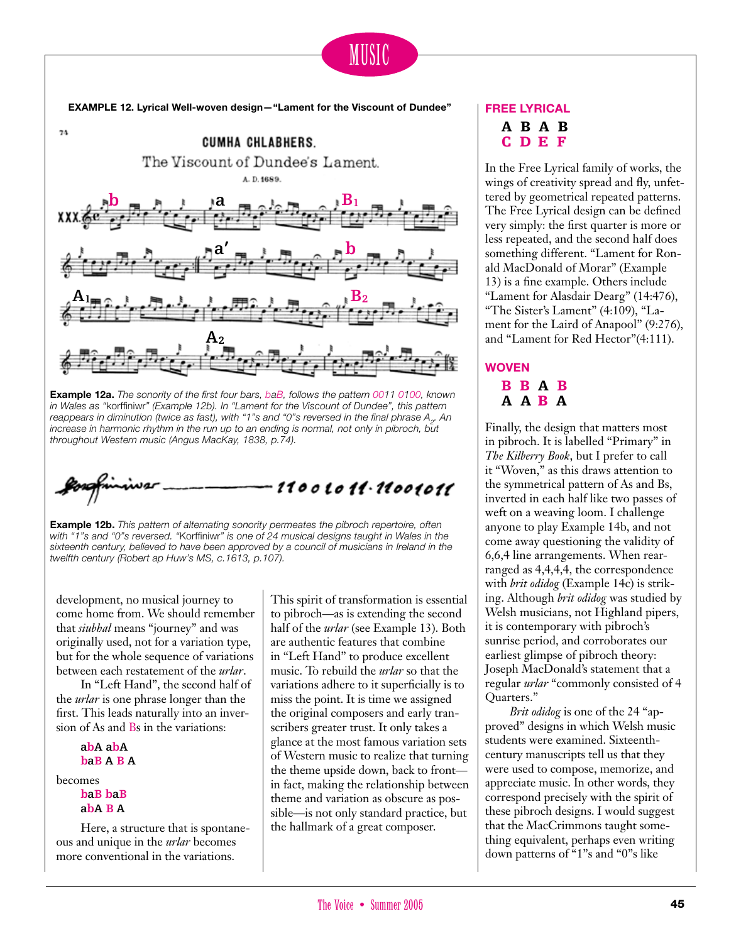## MUSIC

**EXAMPLE 12. Lyrical Well-woven design—"Lament for the Viscount of Dundee"**



**Example 12a.** *The sonority of the first four bars, baB, follows the pattern 0011 0100, known in Wales as "*korffiniwr*" (Example 12b). In "Lament for the Viscount of Dundee", this pattern*  reappears in diminution (twice as fast), with "1"s and "0"s reversed in the final phrase A<sub>2</sub>. An increase in harmonic rhythm in the run up to an ending is normal, not only in pibroch, but *throughout Western music (Angus MacKay, 1838, p.74).*



**Example 12b.** *This pattern of alternating sonority permeates the pibroch repertoire, often with "1"s and "0"s reversed. "*Korffiniwr*" is one of 24 musical designs taught in Wales in the sixteenth century, believed to have been approved by a council of musicians in Ireland in the twelfth century (Robert ap Huw's MS, c.1613, p.107).*

development, no musical journey to come home from. We should remember that *siubhal* means "journey" and was originally used, not for a variation type, but for the whole sequence of variations between each restatement of the *urlar*.

In "Left Hand", the second half of the *urlar* is one phrase longer than the first. This leads naturally into an inversion of As and Bs in the variations:

**abA abA baB A B A** becomes **baB baB**

**abA B A**

Here, a structure that is spontaneous and unique in the *urlar* becomes more conventional in the variations.

This spirit of transformation is essential to pibroch—as is extending the second half of the *urlar* (see Example 13). Both are authentic features that combine in "Left Hand" to produce excellent music. To rebuild the *urlar* so that the variations adhere to it superficially is to miss the point. It is time we assigned the original composers and early transcribers greater trust. It only takes a glance at the most famous variation sets of Western music to realize that turning the theme upside down, back to front in fact, making the relationship between theme and variation as obscure as possible—is not only standard practice, but the hallmark of a great composer.

### **Free Lyrical**

**A B A B**  $C$   $D$   $E$   $F$ 

In the Free Lyrical family of works, the wings of creativity spread and fly, unfettered by geometrical repeated patterns. The Free Lyrical design can be defined very simply: the first quarter is more or less repeated, and the second half does something different. "Lament for Ronald MacDonald of Morar" (Example 13) is a fine example. Others include "Lament for Alasdair Dearg" (14:476), "The Sister's Lament" (4:109), "Lament for the Laird of Anapool" (9:276), and "Lament for Red Hector"(4:111).

### **Woven**  $B$   $B$   $A$   $B$  $A$   $A$   $B$   $A$

Finally, the design that matters most in pibroch. It is labelled "Primary" in *The Kilberry Book*, but I prefer to call it "Woven," as this draws attention to the symmetrical pattern of As and Bs, inverted in each half like two passes of weft on a weaving loom. I challenge anyone to play Example 14b, and not come away questioning the validity of 6,6,4 line arrangements. When rearranged as 4,4,4,4, the correspondence with *brit odidog* (Example 14c) is striking. Although *brit odidog* was studied by Welsh musicians, not Highland pipers, it is contemporary with pibroch's sunrise period, and corroborates our earliest glimpse of pibroch theory: Joseph MacDonald's statement that a regular *urlar* "commonly consisted of 4 Quarters."

*Brit odidog* is one of the 24 "approved" designs in which Welsh music students were examined. Sixteenthcentury manuscripts tell us that they were used to compose, memorize, and appreciate music. In other words, they correspond precisely with the spirit of these pibroch designs. I would suggest that the MacCrimmons taught something equivalent, perhaps even writing down patterns of "1"s and "0"s like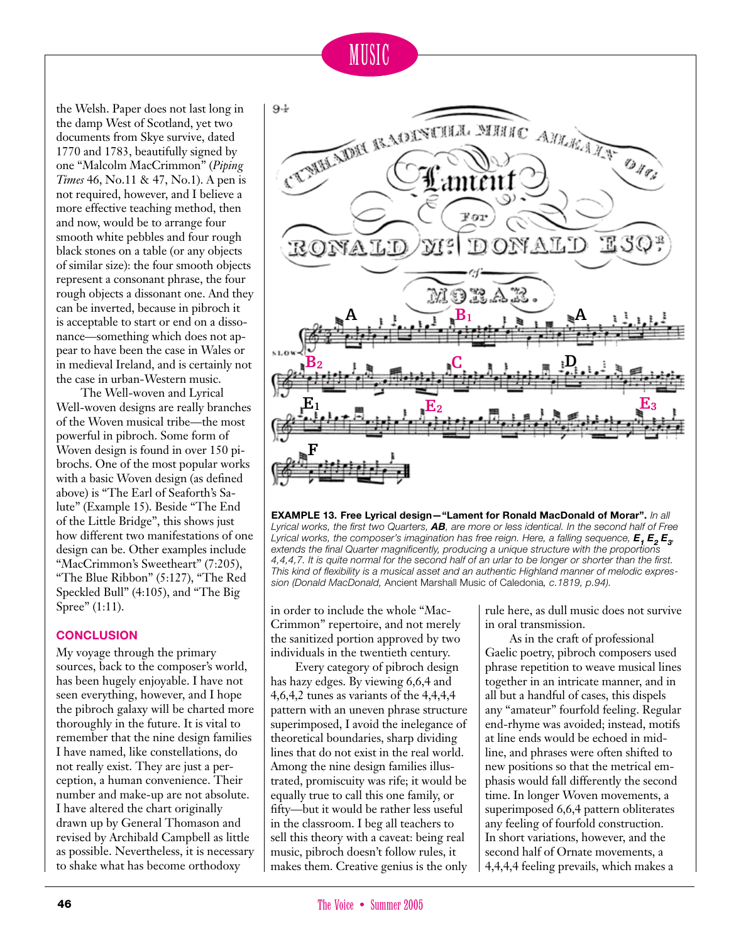

the Welsh. Paper does not last long in the damp West of Scotland, yet two documents from Skye survive, dated 1770 and 1783, beautifully signed by one "Malcolm MacCrimmon" (*Piping Times* 46, No.11 & 47, No.1). A pen is not required, however, and I believe a more effective teaching method, then and now, would be to arrange four smooth white pebbles and four rough black stones on a table (or any objects of similar size): the four smooth objects represent a consonant phrase, the four rough objects a dissonant one. And they can be inverted, because in pibroch it is acceptable to start or end on a dissonance—something which does not appear to have been the case in Wales or in medieval Ireland, and is certainly not the case in urban-Western music.

The Well-woven and Lyrical Well-woven designs are really branches of the Woven musical tribe—the most powerful in pibroch. Some form of Woven design is found in over 150 pibrochs. One of the most popular works with a basic Woven design (as defined above) is "The Earl of Seaforth's Salute" (Example 15). Beside "The End of the Little Bridge", this shows just how different two manifestations of one design can be. Other examples include "MacCrimmon's Sweetheart" (7:205), "The Blue Ribbon" (5:127), "The Red Speckled Bull" (4:105), and "The Big Spree" (1:11).

#### **Conclusion**

My voyage through the primary sources, back to the composer's world, has been hugely enjoyable. I have not seen everything, however, and I hope the pibroch galaxy will be charted more thoroughly in the future. It is vital to remember that the nine design families I have named, like constellations, do not really exist. They are just a perception, a human convenience. Their number and make-up are not absolute. I have altered the chart originally drawn up by General Thomason and revised by Archibald Campbell as little as possible. Nevertheless, it is necessary to shake what has become orthodoxy



**EXAMPLE 13. Free Lyrical design—"Lament for Ronald MacDonald of Morar".** *In all Lyrical works, the first two Quarters, AB, are more or less identical. In the second half of Free*  Lyrical works, the composer's imagination has free reign. Here, a falling sequence,  $E_{1}E_{2}E_{3}$ , *extends the final Quarter magnificently, producing a unique structure with the proportions 4,4,4,7. It is quite normal for the second half of an urlar to be longer or shorter than the first. This kind of flexibility is a musical asset and an authentic Highland manner of melodic expression (Donald MacDonald,* Ancient Marshall Music of Caledonia*, c.1819, p.94).*

in order to include the whole "Mac-Crimmon" repertoire, and not merely the sanitized portion approved by two individuals in the twentieth century.

Every category of pibroch design has hazy edges. By viewing 6,6,4 and 4,6,4,2 tunes as variants of the 4,4,4,4 pattern with an uneven phrase structure superimposed, I avoid the inelegance of theoretical boundaries, sharp dividing lines that do not exist in the real world. Among the nine design families illustrated, promiscuity was rife; it would be equally true to call this one family, or fifty—but it would be rather less useful in the classroom. I beg all teachers to sell this theory with a caveat: being real music, pibroch doesn't follow rules, it makes them. Creative genius is the only rule here, as dull music does not survive in oral transmission.

As in the craft of professional Gaelic poetry, pibroch composers used phrase repetition to weave musical lines together in an intricate manner, and in all but a handful of cases, this dispels any "amateur" fourfold feeling. Regular end-rhyme was avoided; instead, motifs at line ends would be echoed in midline, and phrases were often shifted to new positions so that the metrical emphasis would fall differently the second time. In longer Woven movements, a superimposed 6,6,4 pattern obliterates any feeling of fourfold construction. In short variations, however, and the second half of Ornate movements, a 4,4,4,4 feeling prevails, which makes a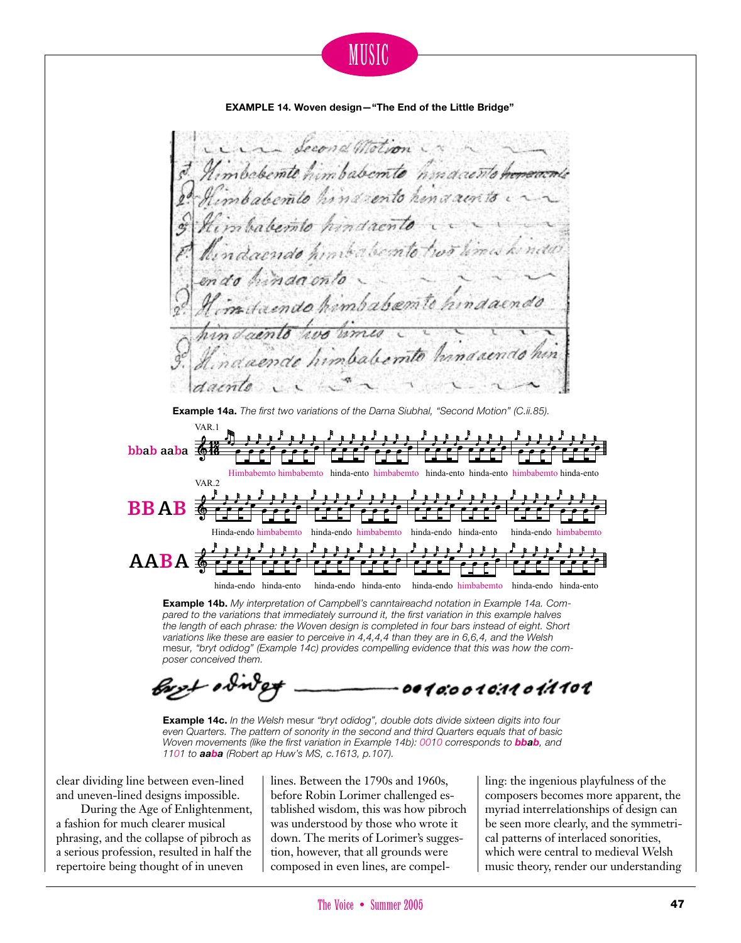



**Example 14b.** *My interpretation of Campbell's canntaireachd notation in Example 14a. Compared to the variations that immediately surround it, the first variation in this example halves the length of each phrase: the Woven design is completed in four bars instead of eight. Short variations like these are easier to perceive in 4,4,4,4 than they are in 6,6,4, and the Welsh*  mesur*, "bryt odidog" (Example 14c) provides compelling evidence that this was how the composer conceived them.*

0010:0010:1101:1101

**Example 14c.** *In the Welsh* mesur *"bryt odidog", double dots divide sixteen digits into four even Quarters. The pattern of sonority in the second and third Quarters equals that of basic Woven movements (like the first variation in Example 14b): 0010 corresponds to bbab, and 1101 to aaba (Robert ap Huw's MS, c.1613, p.107).*

clear dividing line between even-lined and uneven-lined designs impossible.

During the Age of Enlightenment, a fashion for much clearer musical phrasing, and the collapse of pibroch as a serious profession, resulted in half the repertoire being thought of in uneven

lines. Between the 1790s and 1960s, before Robin Lorimer challenged established wisdom, this was how pibroch was understood by those who wrote it down. The merits of Lorimer's suggestion, however, that all grounds were composed in even lines, are compelling: the ingenious playfulness of the composers becomes more apparent, the myriad interrelationships of design can be seen more clearly, and the symmetrical patterns of interlaced sonorities, which were central to medieval Welsh music theory, render our understanding